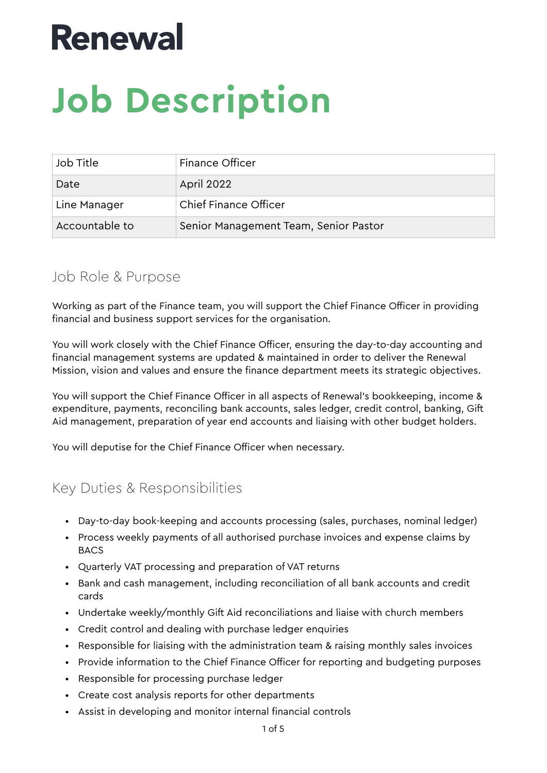## **Renewal**

# **Job Description**

| Job Title      | Finance Officer                       |
|----------------|---------------------------------------|
| Date           | April 2022                            |
| Line Manager   | Chief Finance Officer                 |
| Accountable to | Senior Management Team, Senior Pastor |

### Job Role & Purpose

Working as part of the Finance team, you will support the Chief Finance Officer in providing financial and business support services for the organisation.

You will work closely with the Chief Finance Officer, ensuring the day-to-day accounting and financial management systems are updated & maintained in order to deliver the Renewal Mission, vision and values and ensure the finance department meets its strategic objectives.

You will support the Chief Finance Officer in all aspects of Renewal's bookkeeping, income & expenditure, payments, reconciling bank accounts, sales ledger, credit control, banking, Gift Aid management, preparation of year end accounts and liaising with other budget holders.

You will deputise for the Chief Finance Officer when necessary.

## Key Duties & Responsibilities

- Day-to-day book-keeping and accounts processing (sales, purchases, nominal ledger)
- Process weekly payments of all authorised purchase invoices and expense claims by **BACS**
- Quarterly VAT processing and preparation of VAT returns
- Bank and cash management, including reconciliation of all bank accounts and credit cards
- Undertake weekly/monthly Gift Aid reconciliations and liaise with church members
- Credit control and dealing with purchase ledger enquiries
- Responsible for liaising with the administration team & raising monthly sales invoices
- Provide information to the Chief Finance Officer for reporting and budgeting purposes
- Responsible for processing purchase ledger
- Create cost analysis reports for other departments
- Assist in developing and monitor internal financial controls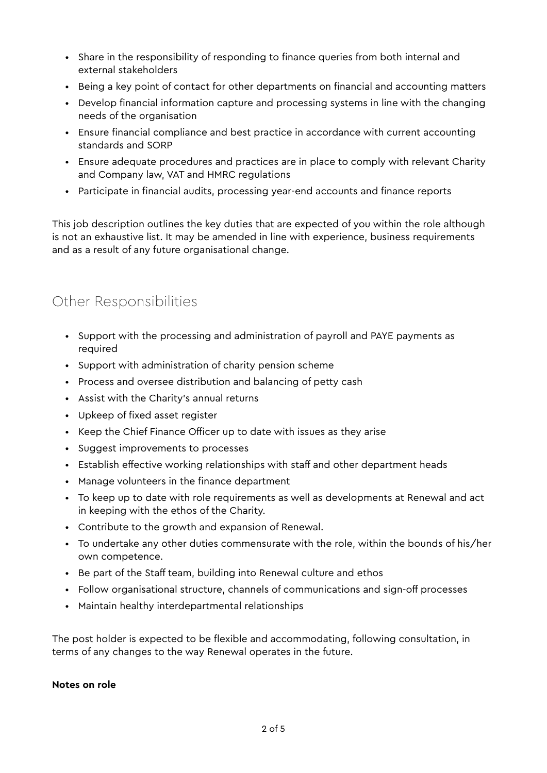- Share in the responsibility of responding to finance queries from both internal and external stakeholders
- Being a key point of contact for other departments on financial and accounting matters
- Develop financial information capture and processing systems in line with the changing needs of the organisation
- Ensure financial compliance and best practice in accordance with current accounting standards and SORP
- Ensure adequate procedures and practices are in place to comply with relevant Charity and Company law, VAT and HMRC regulations
- Participate in financial audits, processing year-end accounts and finance reports

This job description outlines the key duties that are expected of you within the role although is not an exhaustive list. It may be amended in line with experience, business requirements and as a result of any future organisational change.

## Other Responsibilities

- Support with the processing and administration of payroll and PAYE payments as required
- Support with administration of charity pension scheme
- Process and oversee distribution and balancing of petty cash
- Assist with the Charity's annual returns
- Upkeep of fixed asset register
- Keep the Chief Finance Officer up to date with issues as they arise
- Suggest improvements to processes
- Establish effective working relationships with staff and other department heads
- Manage volunteers in the finance department
- To keep up to date with role requirements as well as developments at Renewal and act in keeping with the ethos of the Charity.
- Contribute to the growth and expansion of Renewal.
- To undertake any other duties commensurate with the role, within the bounds of his/her own competence.
- Be part of the Staff team, building into Renewal culture and ethos
- Follow organisational structure, channels of communications and sign-off processes
- Maintain healthy interdepartmental relationships

The post holder is expected to be flexible and accommodating, following consultation, in terms of any changes to the way Renewal operates in the future.

#### **Notes on role**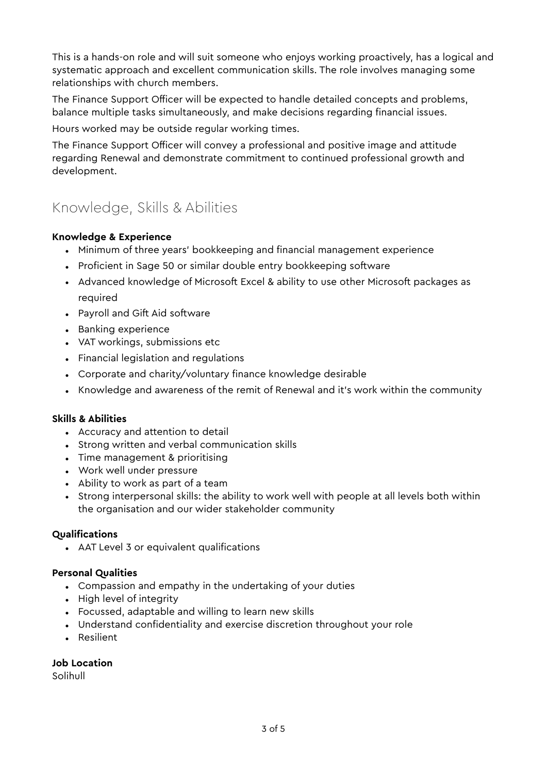This is a hands-on role and will suit someone who enjoys working proactively, has a logical and systematic approach and excellent communication skills. The role involves managing some relationships with church members.

The Finance Support Officer will be expected to handle detailed concepts and problems, balance multiple tasks simultaneously, and make decisions regarding financial issues.

Hours worked may be outside regular working times.

The Finance Support Officer will convey a professional and positive image and attitude regarding Renewal and demonstrate commitment to continued professional growth and development.

## Knowledge, Skills & Abilities

#### **Knowledge & Experience**

- Minimum of three years' bookkeeping and financial management experience
- Proficient in Sage 50 or similar double entry bookkeeping software
- Advanced knowledge of Microsoft Excel & ability to use other Microsoft packages as required
- Payroll and Gift Aid software
- Banking experience
- VAT workings, submissions etc
- Financial legislation and regulations
- Corporate and charity/voluntary finance knowledge desirable
- Knowledge and awareness of the remit of Renewal and it's work within the community

#### **Skills & Abilities**

- Accuracy and attention to detail
- Strong written and verbal communication skills
- Time management & prioritising
- Work well under pressure
- Ability to work as part of a team
- Strong interpersonal skills: the ability to work well with people at all levels both within the organisation and our wider stakeholder community

#### **Qualifications**

• AAT Level 3 or equivalent qualifications

#### **Personal Qualities**

- Compassion and empathy in the undertaking of your duties
- High level of integrity
- Focussed, adaptable and willing to learn new skills
- Understand confidentiality and exercise discretion throughout your role
- Resilient

**Job Location** 

Solihull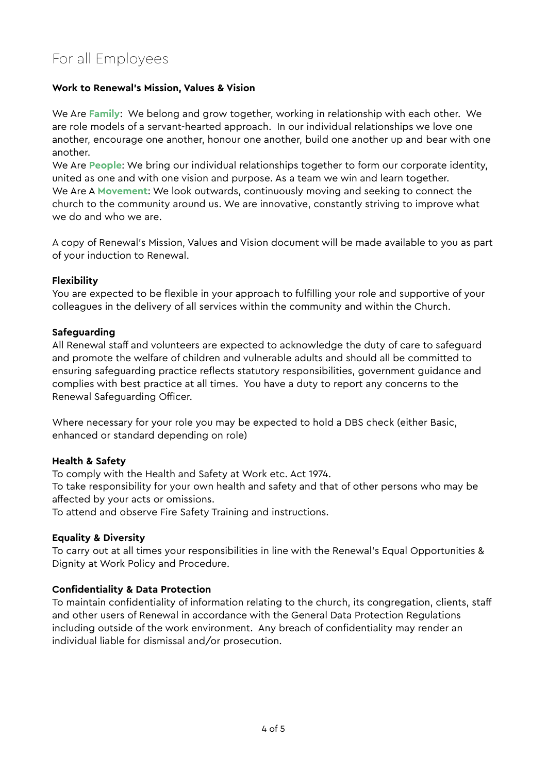## For all Employees

#### **Work to Renewal's Mission, Values & Vision**

We Are **Family**: We belong and grow together, working in relationship with each other. We are role models of a servant-hearted approach. In our individual relationships we love one another, encourage one another, honour one another, build one another up and bear with one another.

We Are **People**: We bring our individual relationships together to form our corporate identity, united as one and with one vision and purpose. As a team we win and learn together. We Are A **Movement**: We look outwards, continuously moving and seeking to connect the church to the community around us. We are innovative, constantly striving to improve what we do and who we are.

A copy of Renewal's Mission, Values and Vision document will be made available to you as part of your induction to Renewal.

#### **Flexibility**

You are expected to be flexible in your approach to fulfilling your role and supportive of your colleagues in the delivery of all services within the community and within the Church.

#### **Safeguarding**

All Renewal staff and volunteers are expected to acknowledge the duty of care to safeguard and promote the welfare of children and vulnerable adults and should all be committed to ensuring safeguarding practice reflects statutory responsibilities, government guidance and complies with best practice at all times. You have a duty to report any concerns to the Renewal Safeguarding Officer.

Where necessary for your role you may be expected to hold a DBS check (either Basic, enhanced or standard depending on role)

#### **Health & Safety**

To comply with the Health and Safety at Work etc. Act 1974.

To take responsibility for your own health and safety and that of other persons who may be affected by your acts or omissions.

To attend and observe Fire Safety Training and instructions.

#### **Equality & Diversity**

To carry out at all times your responsibilities in line with the Renewal's Equal Opportunities & Dignity at Work Policy and Procedure.

#### **Confidentiality & Data Protection**

To maintain confidentiality of information relating to the church, its congregation, clients, staff and other users of Renewal in accordance with the General Data Protection Regulations including outside of the work environment. Any breach of confidentiality may render an individual liable for dismissal and/or prosecution.